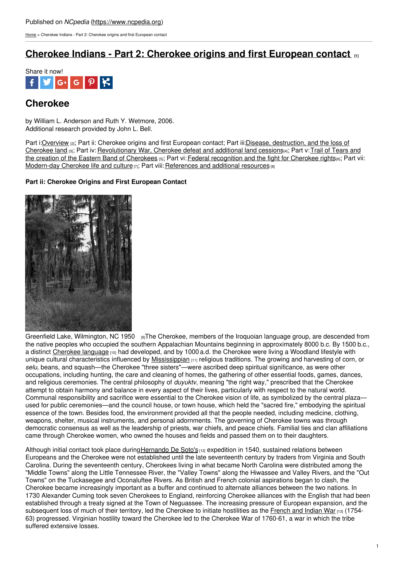[Home](https://www.ncpedia.org/) > Cherokee Indians - Part 2: Cherokee origins and first European contact

# **Cherokee Indians - Part 2: Cherokee origins and first [European](https://www.ncpedia.org/cherokee/origins) contact [1]**



## **Cherokee**

by William L. Anderson and Ruth Y. Wetmore, 2006. Additional research provided by John L. Bell.

Part i: Overview [2]; Part ii: Cherokee origins and first European contact; Part iii: Disease, destruction, and the loss of Cherokee land [3]; Part iv: [Revolutionary](https://www.ncpedia.org/cherokee/trailoftears) War, Cherokee defeat and additional land cessions[4]; Part v: Trail of Tears and the creation of the Eastern Band of Cherokees [5]; Part vi: Federal [recognition](https://www.ncpedia.org/cherokee/rights) and the fight for Cherokee rights[6]; Part vii: [Modern-day](https://www.ncpedia.org/cherokee/modernday) Cherokee life and culture [7]; Part viii: [References](https://www.ncpedia.org/cherokee/references) and additional resources [8]

### **Part ii: Cherokee Origins and First [European](http://www.social9.com) Contact**



Greenfield Lake, [Wilmington,](http://digital.ncdcr.gov/u?/p15012coll5,1879) NC 1950 [9]The Cherokee, members of the Iroquoian language group, are descended from the native peoples who occupied the southern Appalachian Mountains beginning in approximately 8000 b.c. By 1500 b.c., a distinct [Cherokee](http://www.learnnc.org/lp/multimedia/10168) language [10] had developed, and by 1000 a.d. the Cherokee were living a Woodland lifestyle with unique cultural characteristics influenced by [Mississippian](http://www.encyclopediaofalabama.org/face/Article.jsp?id=h-1130) [11] religious traditions. The growing and harvesting of corn, or *selu*, beans, and squash—the Cherokee "three sisters"—were ascribed deep spiritual significance, as were other occupations, including hunting, the care and cleaning of homes, the gathering of other essential foods, games, dances, and religious ceremonies. The central philosophy of *duyuktv*, meaning "the right way," prescribed that the Cherokee attempt to obtain harmony and balance in every aspect of their lives, particularly with respect to the natural world. Communal responsibility and sacrifice were essential to the Cherokee vision of life, as symbolized by the central plaza used for public ceremonies—and the council house, or town house, which held the "sacred fire," embodying the spiritual essence of the town. Besides food, the environment provided all that the people needed, including medicine, clothing, weapons, shelter, musical instruments, and personal adornments. The governing of Cherokee towns was through democratic consensus as well as the leadership of priests, war chiefs, and peace chiefs. Familial ties and clan affiliations came through Cherokee women, who owned the houses and fields and passed them on to their daughters.

Although initial contact took place during [Hernando](http://rs6.loc.gov/intldl/eshtml/es-1/es-1-2-2.html) De Soto's [12] expedition in 1540, sustained relations between Europeans and the Cherokee were not established until the late seventeenth century by traders from Virginia and South Carolina. During the seventeenth century, Cherokees living in what became North Carolina were distributed among the "Middle Towns" along the Little Tennessee River, the "Valley Towns" along the Hiwassee and Valley Rivers, and the "Out Towns" on the Tuckasegee and Oconaluftee Rivers. As British and French colonial aspirations began to clash, the Cherokee became increasingly important as a buffer and continued to alternate alliances between the two nations. In 1730 Alexander Cuming took seven Cherokees to England, reinforcing Cherokee alliances with the English that had been established through a treaty signed at the Town of Neguassee. The increasing pressure of European expansion, and the subsequent loss of much of their territory, led the Cherokee to initiate hostilities as the [French](https://www.ncpedia.org/french-and-indian-war) and Indian War [13] (1754-63) progressed. Virginian hostility toward the Cherokee led to the Cherokee War of 1760-61, a war in which the tribe suffered extensive losses.